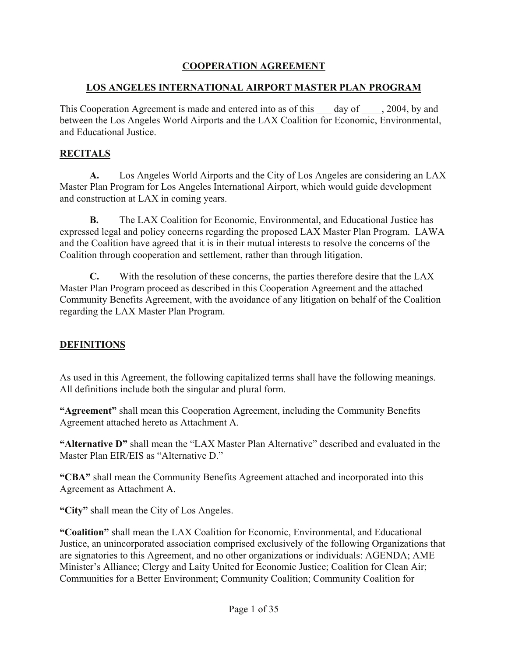## **COOPERATION AGREEMENT**

## **LOS ANGELES INTERNATIONAL AIRPORT MASTER PLAN PROGRAM**

This Cooperation Agreement is made and entered into as of this day of , 2004, by and between the Los Angeles World Airports and the LAX Coalition for Economic, Environmental, and Educational Justice.

### **RECITALS**

**A.** Los Angeles World Airports and the City of Los Angeles are considering an LAX Master Plan Program for Los Angeles International Airport, which would guide development and construction at LAX in coming years.

**B.** The LAX Coalition for Economic, Environmental, and Educational Justice has expressed legal and policy concerns regarding the proposed LAX Master Plan Program. LAWA and the Coalition have agreed that it is in their mutual interests to resolve the concerns of the Coalition through cooperation and settlement, rather than through litigation.

**C.** With the resolution of these concerns, the parties therefore desire that the LAX Master Plan Program proceed as described in this Cooperation Agreement and the attached Community Benefits Agreement, with the avoidance of any litigation on behalf of the Coalition regarding the LAX Master Plan Program.

## **DEFINITIONS**

As used in this Agreement, the following capitalized terms shall have the following meanings. All definitions include both the singular and plural form.

**"Agreement"** shall mean this Cooperation Agreement, including the Community Benefits Agreement attached hereto as Attachment A.

**"Alternative D"** shall mean the "LAX Master Plan Alternative" described and evaluated in the Master Plan EIR/EIS as "Alternative D."

**"CBA"** shall mean the Community Benefits Agreement attached and incorporated into this Agreement as Attachment A.

**"City"** shall mean the City of Los Angeles.

**"Coalition"** shall mean the LAX Coalition for Economic, Environmental, and Educational Justice, an unincorporated association comprised exclusively of the following Organizations that are signatories to this Agreement, and no other organizations or individuals: AGENDA; AME Minister's Alliance; Clergy and Laity United for Economic Justice; Coalition for Clean Air; Communities for a Better Environment; Community Coalition; Community Coalition for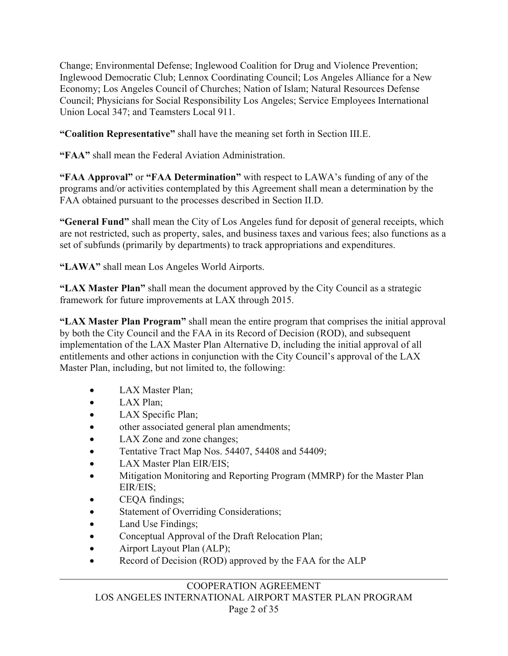Change; Environmental Defense; Inglewood Coalition for Drug and Violence Prevention; Inglewood Democratic Club; Lennox Coordinating Council; Los Angeles Alliance for a New Economy; Los Angeles Council of Churches; Nation of Islam; Natural Resources Defense Council; Physicians for Social Responsibility Los Angeles; Service Employees International Union Local 347; and Teamsters Local 911.

# **"Coalition Representative"** shall have the meaning set forth in Section III.E.

**"FAA"** shall mean the Federal Aviation Administration.

**"FAA Approval"** or **"FAA Determination"** with respect to LAWA's funding of any of the programs and/or activities contemplated by this Agreement shall mean a determination by the FAA obtained pursuant to the processes described in Section II.D.

**"General Fund"** shall mean the City of Los Angeles fund for deposit of general receipts, which are not restricted, such as property, sales, and business taxes and various fees; also functions as a set of subfunds (primarily by departments) to track appropriations and expenditures.

**"LAWA"** shall mean Los Angeles World Airports.

**"LAX Master Plan"** shall mean the document approved by the City Council as a strategic framework for future improvements at LAX through 2015.

**"LAX Master Plan Program"** shall mean the entire program that comprises the initial approval by both the City Council and the FAA in its Record of Decision (ROD), and subsequent implementation of the LAX Master Plan Alternative D, including the initial approval of all entitlements and other actions in conjunction with the City Council's approval of the LAX Master Plan, including, but not limited to, the following:

- LAX Master Plan;
- $\bullet$  LAX Plan:
- LAX Specific Plan;
- other associated general plan amendments;
- LAX Zone and zone changes;
- Tentative Tract Map Nos. 54407, 54408 and 54409;
- LAX Master Plan EIR/EIS;
- Mitigation Monitoring and Reporting Program (MMRP) for the Master Plan EIR/EIS;
- CEQA findings;
- Statement of Overriding Considerations;
- Land Use Findings;
- Conceptual Approval of the Draft Relocation Plan;
- $\bullet$  Airport Layout Plan (ALP);
- Record of Decision (ROD) approved by the FAA for the ALP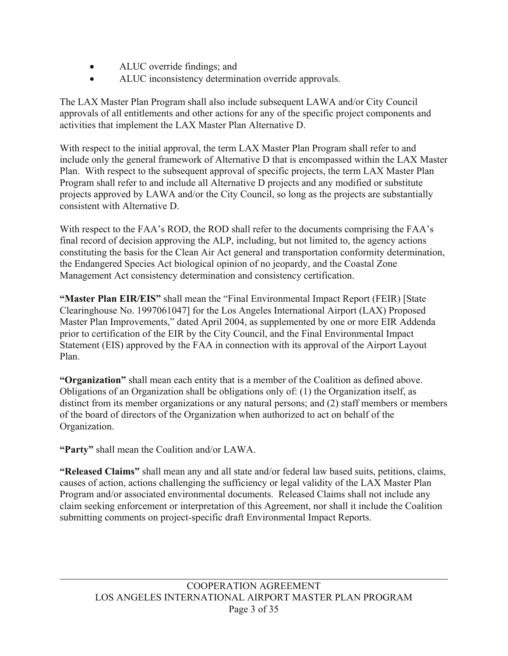- ALUC override findings; and
- ALUC inconsistency determination override approvals.

The LAX Master Plan Program shall also include subsequent LAWA and/or City Council approvals of all entitlements and other actions for any of the specific project components and activities that implement the LAX Master Plan Alternative D.

With respect to the initial approval, the term LAX Master Plan Program shall refer to and include only the general framework of Alternative D that is encompassed within the LAX Master Plan. With respect to the subsequent approval of specific projects, the term LAX Master Plan Program shall refer to and include all Alternative D projects and any modified or substitute projects approved by LAWA and/or the City Council, so long as the projects are substantially consistent with Alternative D.

With respect to the FAA's ROD, the ROD shall refer to the documents comprising the FAA's final record of decision approving the ALP, including, but not limited to, the agency actions constituting the basis for the Clean Air Act general and transportation conformity determination, the Endangered Species Act biological opinion of no jeopardy, and the Coastal Zone Management Act consistency determination and consistency certification.

**"Master Plan EIR/EIS"** shall mean the "Final Environmental Impact Report (FEIR) [State Clearinghouse No. 1997061047] for the Los Angeles International Airport (LAX) Proposed Master Plan Improvements," dated April 2004, as supplemented by one or more EIR Addenda prior to certification of the EIR by the City Council, and the Final Environmental Impact Statement (EIS) approved by the FAA in connection with its approval of the Airport Layout Plan.

**"Organization"** shall mean each entity that is a member of the Coalition as defined above. Obligations of an Organization shall be obligations only of: (1) the Organization itself, as distinct from its member organizations or any natural persons; and (2) staff members or members of the board of directors of the Organization when authorized to act on behalf of the Organization.

**"Party"** shall mean the Coalition and/or LAWA.

**"Released Claims"** shall mean any and all state and/or federal law based suits, petitions, claims, causes of action, actions challenging the sufficiency or legal validity of the LAX Master Plan Program and/or associated environmental documents. Released Claims shall not include any claim seeking enforcement or interpretation of this Agreement, nor shall it include the Coalition submitting comments on project-specific draft Environmental Impact Reports.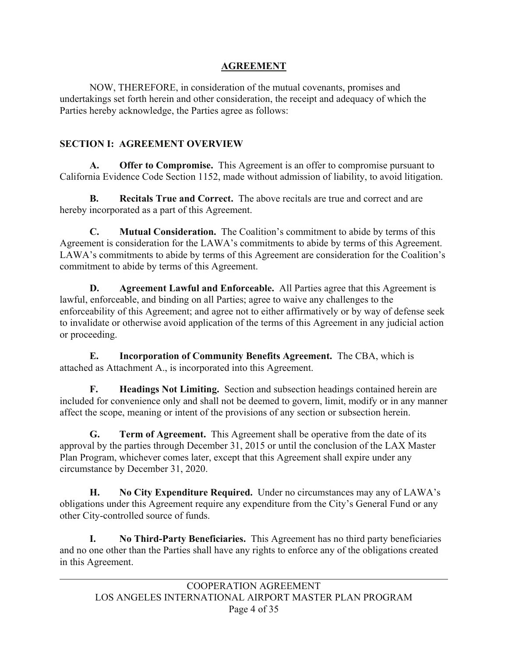### **AGREEMENT**

NOW, THEREFORE, in consideration of the mutual covenants, promises and undertakings set forth herein and other consideration, the receipt and adequacy of which the Parties hereby acknowledge, the Parties agree as follows:

## **SECTION I: AGREEMENT OVERVIEW**

 **A. Offer to Compromise.** This Agreement is an offer to compromise pursuant to California Evidence Code Section 1152, made without admission of liability, to avoid litigation.

**B. Recitals True and Correct.** The above recitals are true and correct and are hereby incorporated as a part of this Agreement.

 **C. Mutual Consideration.** The Coalition's commitment to abide by terms of this Agreement is consideration for the LAWA's commitments to abide by terms of this Agreement. LAWA's commitments to abide by terms of this Agreement are consideration for the Coalition's commitment to abide by terms of this Agreement.

**D.** Agreement Lawful and Enforceable. All Parties agree that this Agreement is lawful, enforceable, and binding on all Parties; agree to waive any challenges to the enforceability of this Agreement; and agree not to either affirmatively or by way of defense seek to invalidate or otherwise avoid application of the terms of this Agreement in any judicial action or proceeding.

 **E. Incorporation of Community Benefits Agreement.** The CBA, which is attached as Attachment A., is incorporated into this Agreement.

**F. Headings Not Limiting.** Section and subsection headings contained herein are included for convenience only and shall not be deemed to govern, limit, modify or in any manner affect the scope, meaning or intent of the provisions of any section or subsection herein.

**G. Term of Agreement.** This Agreement shall be operative from the date of its approval by the parties through December 31, 2015 or until the conclusion of the LAX Master Plan Program, whichever comes later, except that this Agreement shall expire under any circumstance by December 31, 2020.

**H. No City Expenditure Required.** Under no circumstances may any of LAWA's obligations under this Agreement require any expenditure from the City's General Fund or any other City-controlled source of funds.

**I. No Third-Party Beneficiaries.** This Agreement has no third party beneficiaries and no one other than the Parties shall have any rights to enforce any of the obligations created in this Agreement.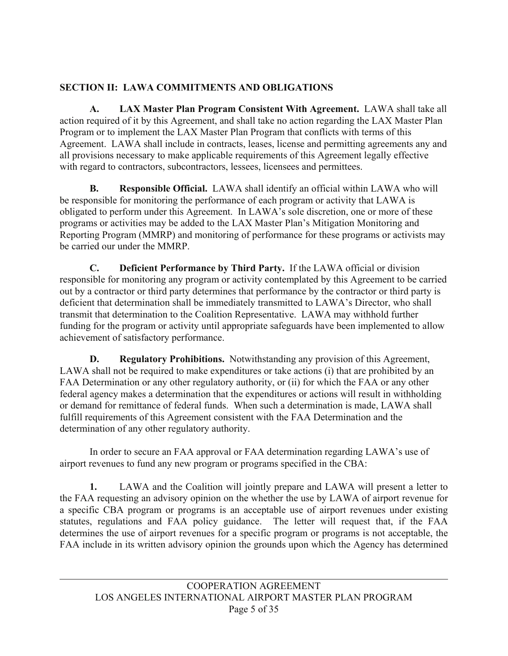# **SECTION II: LAWA COMMITMENTS AND OBLIGATIONS**

 **A. LAX Master Plan Program Consistent With Agreement.** LAWA shall take all action required of it by this Agreement, and shall take no action regarding the LAX Master Plan Program or to implement the LAX Master Plan Program that conflicts with terms of this Agreement. LAWA shall include in contracts, leases, license and permitting agreements any and all provisions necessary to make applicable requirements of this Agreement legally effective with regard to contractors, subcontractors, lessees, licensees and permittees.

**B. Responsible Official.** LAWA shall identify an official within LAWA who will be responsible for monitoring the performance of each program or activity that LAWA is obligated to perform under this Agreement. In LAWA's sole discretion, one or more of these programs or activities may be added to the LAX Master Plan's Mitigation Monitoring and Reporting Program (MMRP) and monitoring of performance for these programs or activists may be carried our under the MMRP.

**C. Deficient Performance by Third Party.** If the LAWA official or division responsible for monitoring any program or activity contemplated by this Agreement to be carried out by a contractor or third party determines that performance by the contractor or third party is deficient that determination shall be immediately transmitted to LAWA's Director, who shall transmit that determination to the Coalition Representative. LAWA may withhold further funding for the program or activity until appropriate safeguards have been implemented to allow achievement of satisfactory performance.

**D.** Regulatory Prohibitions. Notwithstanding any provision of this Agreement, LAWA shall not be required to make expenditures or take actions (i) that are prohibited by an FAA Determination or any other regulatory authority, or (ii) for which the FAA or any other federal agency makes a determination that the expenditures or actions will result in withholding or demand for remittance of federal funds. When such a determination is made, LAWA shall fulfill requirements of this Agreement consistent with the FAA Determination and the determination of any other regulatory authority.

In order to secure an FAA approval or FAA determination regarding LAWA's use of airport revenues to fund any new program or programs specified in the CBA:

**1.** LAWA and the Coalition will jointly prepare and LAWA will present a letter to the FAA requesting an advisory opinion on the whether the use by LAWA of airport revenue for a specific CBA program or programs is an acceptable use of airport revenues under existing statutes, regulations and FAA policy guidance. The letter will request that, if the FAA determines the use of airport revenues for a specific program or programs is not acceptable, the FAA include in its written advisory opinion the grounds upon which the Agency has determined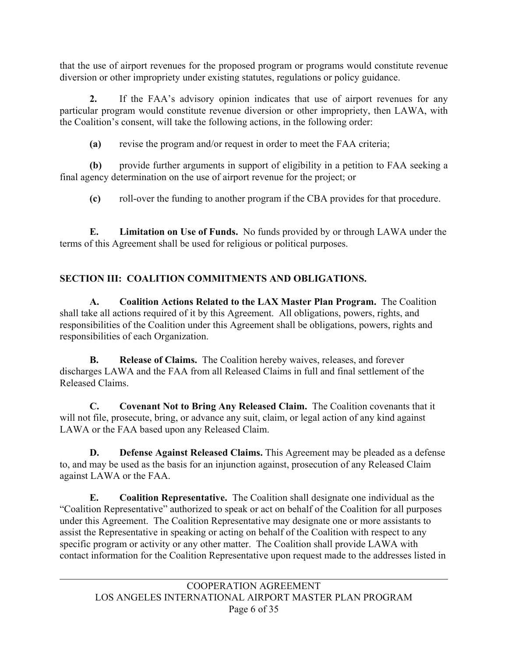that the use of airport revenues for the proposed program or programs would constitute revenue diversion or other impropriety under existing statutes, regulations or policy guidance.

**2.** If the FAA's advisory opinion indicates that use of airport revenues for any particular program would constitute revenue diversion or other impropriety, then LAWA, with the Coalition's consent, will take the following actions, in the following order:

**(a)** revise the program and/or request in order to meet the FAA criteria;

**(b)** provide further arguments in support of eligibility in a petition to FAA seeking a final agency determination on the use of airport revenue for the project; or

**(c)** roll-over the funding to another program if the CBA provides for that procedure.

**E. Limitation on Use of Funds.** No funds provided by or through LAWA under the terms of this Agreement shall be used for religious or political purposes.

# **SECTION III: COALITION COMMITMENTS AND OBLIGATIONS.**

 **A. Coalition Actions Related to the LAX Master Plan Program.** The Coalition shall take all actions required of it by this Agreement. All obligations, powers, rights, and responsibilities of the Coalition under this Agreement shall be obligations, powers, rights and responsibilities of each Organization.

**B.** Release of Claims. The Coalition hereby waives, releases, and forever discharges LAWA and the FAA from all Released Claims in full and final settlement of the Released Claims.

 **C. Covenant Not to Bring Any Released Claim.** The Coalition covenants that it will not file, prosecute, bring, or advance any suit, claim, or legal action of any kind against LAWA or the FAA based upon any Released Claim.

 **D. Defense Against Released Claims.** This Agreement may be pleaded as a defense to, and may be used as the basis for an injunction against, prosecution of any Released Claim against LAWA or the FAA.

 **E. Coalition Representative.** The Coalition shall designate one individual as the "Coalition Representative" authorized to speak or act on behalf of the Coalition for all purposes under this Agreement. The Coalition Representative may designate one or more assistants to assist the Representative in speaking or acting on behalf of the Coalition with respect to any specific program or activity or any other matter. The Coalition shall provide LAWA with contact information for the Coalition Representative upon request made to the addresses listed in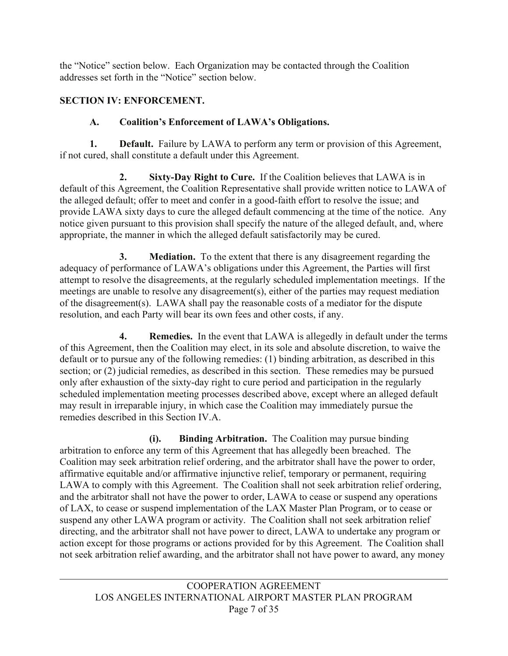the "Notice" section below. Each Organization may be contacted through the Coalition addresses set forth in the "Notice" section below.

# **SECTION IV: ENFORCEMENT.**

# **A. Coalition's Enforcement of LAWA's Obligations.**

**1. Default.** Failure by LAWA to perform any term or provision of this Agreement, if not cured, shall constitute a default under this Agreement.

 **2. Sixty-Day Right to Cure.** If the Coalition believes that LAWA is in default of this Agreement, the Coalition Representative shall provide written notice to LAWA of the alleged default; offer to meet and confer in a good-faith effort to resolve the issue; and provide LAWA sixty days to cure the alleged default commencing at the time of the notice. Any notice given pursuant to this provision shall specify the nature of the alleged default, and, where appropriate, the manner in which the alleged default satisfactorily may be cured.

**3.** Mediation. To the extent that there is any disagreement regarding the adequacy of performance of LAWA's obligations under this Agreement, the Parties will first attempt to resolve the disagreements, at the regularly scheduled implementation meetings. If the meetings are unable to resolve any disagreement(s), either of the parties may request mediation of the disagreement(s). LAWA shall pay the reasonable costs of a mediator for the dispute resolution, and each Party will bear its own fees and other costs, if any.

 **4. Remedies.** In the event that LAWA is allegedly in default under the terms of this Agreement, then the Coalition may elect, in its sole and absolute discretion, to waive the default or to pursue any of the following remedies: (1) binding arbitration, as described in this section; or (2) judicial remedies, as described in this section. These remedies may be pursued only after exhaustion of the sixty-day right to cure period and participation in the regularly scheduled implementation meeting processes described above, except where an alleged default may result in irreparable injury, in which case the Coalition may immediately pursue the remedies described in this Section IV.A.

 **(i). Binding Arbitration.** The Coalition may pursue binding arbitration to enforce any term of this Agreement that has allegedly been breached. The Coalition may seek arbitration relief ordering, and the arbitrator shall have the power to order, affirmative equitable and/or affirmative injunctive relief, temporary or permanent, requiring LAWA to comply with this Agreement. The Coalition shall not seek arbitration relief ordering, and the arbitrator shall not have the power to order, LAWA to cease or suspend any operations of LAX, to cease or suspend implementation of the LAX Master Plan Program, or to cease or suspend any other LAWA program or activity. The Coalition shall not seek arbitration relief directing, and the arbitrator shall not have power to direct, LAWA to undertake any program or action except for those programs or actions provided for by this Agreement. The Coalition shall not seek arbitration relief awarding, and the arbitrator shall not have power to award, any money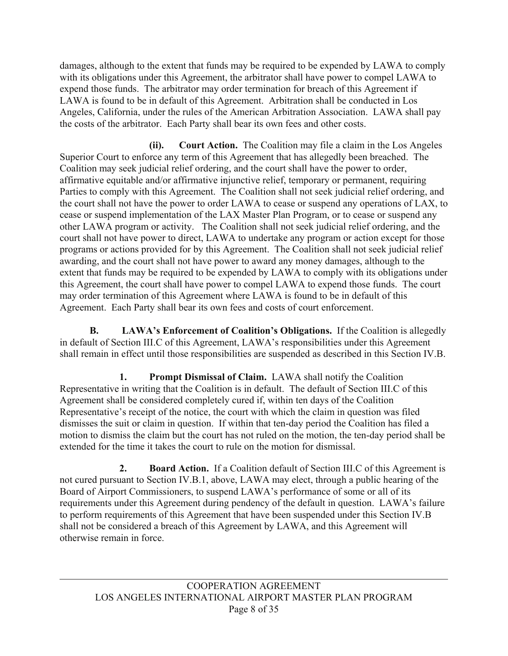damages, although to the extent that funds may be required to be expended by LAWA to comply with its obligations under this Agreement, the arbitrator shall have power to compel LAWA to expend those funds. The arbitrator may order termination for breach of this Agreement if LAWA is found to be in default of this Agreement. Arbitration shall be conducted in Los Angeles, California, under the rules of the American Arbitration Association. LAWA shall pay the costs of the arbitrator. Each Party shall bear its own fees and other costs.

 **(ii). Court Action.** The Coalition may file a claim in the Los Angeles Superior Court to enforce any term of this Agreement that has allegedly been breached. The Coalition may seek judicial relief ordering, and the court shall have the power to order, affirmative equitable and/or affirmative injunctive relief, temporary or permanent, requiring Parties to comply with this Agreement. The Coalition shall not seek judicial relief ordering, and the court shall not have the power to order LAWA to cease or suspend any operations of LAX, to cease or suspend implementation of the LAX Master Plan Program, or to cease or suspend any other LAWA program or activity. The Coalition shall not seek judicial relief ordering, and the court shall not have power to direct, LAWA to undertake any program or action except for those programs or actions provided for by this Agreement. The Coalition shall not seek judicial relief awarding, and the court shall not have power to award any money damages, although to the extent that funds may be required to be expended by LAWA to comply with its obligations under this Agreement, the court shall have power to compel LAWA to expend those funds. The court may order termination of this Agreement where LAWA is found to be in default of this Agreement. Each Party shall bear its own fees and costs of court enforcement.

**B.** LAWA's Enforcement of Coalition's Obligations. If the Coalition is allegedly in default of Section III.C of this Agreement, LAWA's responsibilities under this Agreement shall remain in effect until those responsibilities are suspended as described in this Section IV.B.

 **1. Prompt Dismissal of Claim.** LAWA shall notify the Coalition Representative in writing that the Coalition is in default. The default of Section III.C of this Agreement shall be considered completely cured if, within ten days of the Coalition Representative's receipt of the notice, the court with which the claim in question was filed dismisses the suit or claim in question. If within that ten-day period the Coalition has filed a motion to dismiss the claim but the court has not ruled on the motion, the ten-day period shall be extended for the time it takes the court to rule on the motion for dismissal.

**2.** Board Action. If a Coalition default of Section III.C of this Agreement is not cured pursuant to Section IV.B.1, above, LAWA may elect, through a public hearing of the Board of Airport Commissioners, to suspend LAWA's performance of some or all of its requirements under this Agreement during pendency of the default in question. LAWA's failure to perform requirements of this Agreement that have been suspended under this Section IV.B shall not be considered a breach of this Agreement by LAWA, and this Agreement will otherwise remain in force.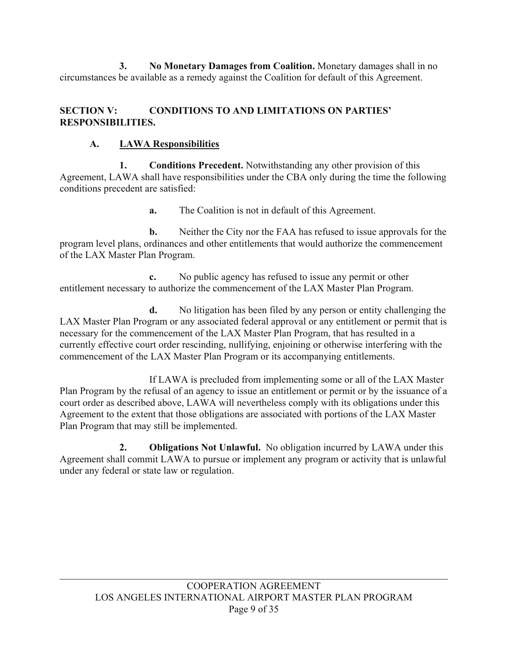**3. No Monetary Damages from Coalition.** Monetary damages shall in no circumstances be available as a remedy against the Coalition for default of this Agreement.

### **SECTION V: CONDITIONS TO AND LIMITATIONS ON PARTIES' RESPONSIBILITIES.**

## **A. LAWA Responsibilities**

 **1. Conditions Precedent.** Notwithstanding any other provision of this Agreement, LAWA shall have responsibilities under the CBA only during the time the following conditions precedent are satisfied:

 **a.** The Coalition is not in default of this Agreement.

**b.** Neither the City nor the FAA has refused to issue approvals for the program level plans, ordinances and other entitlements that would authorize the commencement of the LAX Master Plan Program.

**c.** No public agency has refused to issue any permit or other entitlement necessary to authorize the commencement of the LAX Master Plan Program.

**d.** No litigation has been filed by any person or entity challenging the LAX Master Plan Program or any associated federal approval or any entitlement or permit that is necessary for the commencement of the LAX Master Plan Program, that has resulted in a currently effective court order rescinding, nullifying, enjoining or otherwise interfering with the commencement of the LAX Master Plan Program or its accompanying entitlements.

If LAWA is precluded from implementing some or all of the LAX Master Plan Program by the refusal of an agency to issue an entitlement or permit or by the issuance of a court order as described above, LAWA will nevertheless comply with its obligations under this Agreement to the extent that those obligations are associated with portions of the LAX Master Plan Program that may still be implemented.

 **2. Obligations Not Unlawful.** No obligation incurred by LAWA under this Agreement shall commit LAWA to pursue or implement any program or activity that is unlawful under any federal or state law or regulation.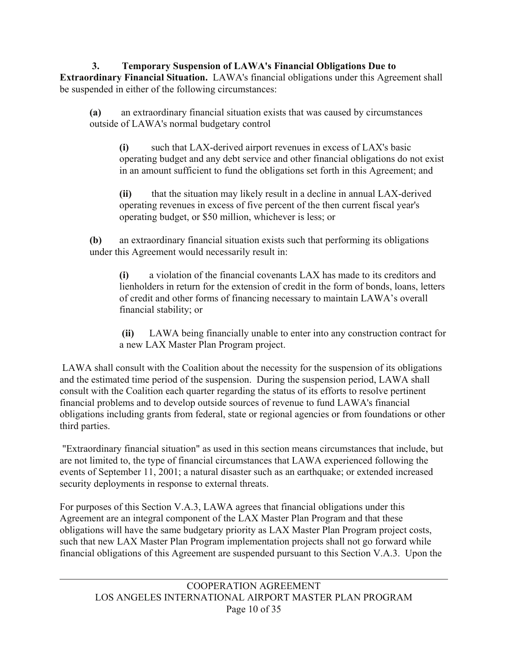# **3. Temporary Suspension of LAWA's Financial Obligations Due to**

**Extraordinary Financial Situation.** LAWA's financial obligations under this Agreement shall be suspended in either of the following circumstances:

**(a)** an extraordinary financial situation exists that was caused by circumstances outside of LAWA's normal budgetary control

**(i)** such that LAX-derived airport revenues in excess of LAX's basic operating budget and any debt service and other financial obligations do not exist in an amount sufficient to fund the obligations set forth in this Agreement; and

**(ii)** that the situation may likely result in a decline in annual LAX-derived operating revenues in excess of five percent of the then current fiscal year's operating budget, or \$50 million, whichever is less; or

**(b)** an extraordinary financial situation exists such that performing its obligations under this Agreement would necessarily result in:

 **(i)** a violation of the financial covenants LAX has made to its creditors and lienholders in return for the extension of credit in the form of bonds, loans, letters of credit and other forms of financing necessary to maintain LAWA's overall financial stability; or

 **(ii)** LAWA being financially unable to enter into any construction contract for a new LAX Master Plan Program project.

 LAWA shall consult with the Coalition about the necessity for the suspension of its obligations and the estimated time period of the suspension. During the suspension period, LAWA shall consult with the Coalition each quarter regarding the status of its efforts to resolve pertinent financial problems and to develop outside sources of revenue to fund LAWA's financial obligations including grants from federal, state or regional agencies or from foundations or other third parties.

 "Extraordinary financial situation" as used in this section means circumstances that include, but are not limited to, the type of financial circumstances that LAWA experienced following the events of September 11, 2001; a natural disaster such as an earthquake; or extended increased security deployments in response to external threats.

For purposes of this Section V.A.3, LAWA agrees that financial obligations under this Agreement are an integral component of the LAX Master Plan Program and that these obligations will have the same budgetary priority as LAX Master Plan Program project costs, such that new LAX Master Plan Program implementation projects shall not go forward while financial obligations of this Agreement are suspended pursuant to this Section V.A.3. Upon the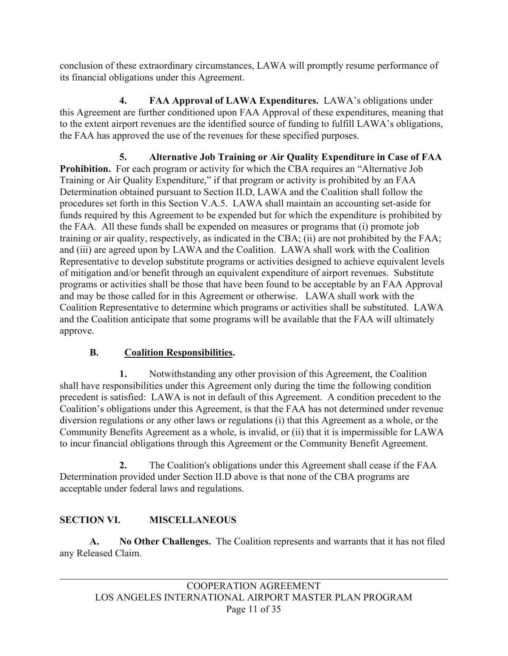conclusion of these extraordinary circumstances, LAWA will promptly resume performance of its financial obligations under this Agreement.

 **4. FAA Approval of LAWA Expenditures.** LAWA's obligations under this Agreement are further conditioned upon FAA Approval of these expenditures, meaning that to the extent airport revenues are the identified source of funding to fulfill LAWA's obligations, the FAA has approved the use of the revenues for these specified purposes.

 **5. Alternative Job Training or Air Quality Expenditure in Case of FAA Prohibition.** For each program or activity for which the CBA requires an "Alternative Job" Training or Air Quality Expenditure," if that program or activity is prohibited by an FAA Determination obtained pursuant to Section II.D, LAWA and the Coalition shall follow the procedures set forth in this Section V.A.5. LAWA shall maintain an accounting set-aside for funds required by this Agreement to be expended but for which the expenditure is prohibited by the FAA. All these funds shall be expended on measures or programs that (i) promote job training or air quality, respectively, as indicated in the CBA; (ii) are not prohibited by the FAA; and (iii) are agreed upon by LAWA and the Coalition. LAWA shall work with the Coalition Representative to develop substitute programs or activities designed to achieve equivalent levels of mitigation and/or benefit through an equivalent expenditure of airport revenues. Substitute programs or activities shall be those that have been found to be acceptable by an FAA Approval and may be those called for in this Agreement or otherwise. LAWA shall work with the Coalition Representative to determine which programs or activities shall be substituted. LAWA and the Coalition anticipate that some programs will be available that the FAA will ultimately approve.

# **B. Coalition Responsibilities.**

 **1.** Notwithstanding any other provision of this Agreement, the Coalition shall have responsibilities under this Agreement only during the time the following condition precedent is satisfied: LAWA is not in default of this Agreement. A condition precedent to the Coalition's obligations under this Agreement, is that the FAA has not determined under revenue diversion regulations or any other laws or regulations (i) that this Agreement as a whole, or the Community Benefits Agreement as a whole, is invalid, or (ii) that it is impermissible for LAWA to incur financial obligations through this Agreement or the Community Benefit Agreement.

 **2.** The Coalition's obligations under this Agreement shall cease if the FAA Determination provided under Section II.D above is that none of the CBA programs are acceptable under federal laws and regulations.

# **SECTION VI. MISCELLANEOUS**

 **A. No Other Challenges.** The Coalition represents and warrants that it has not filed any Released Claim.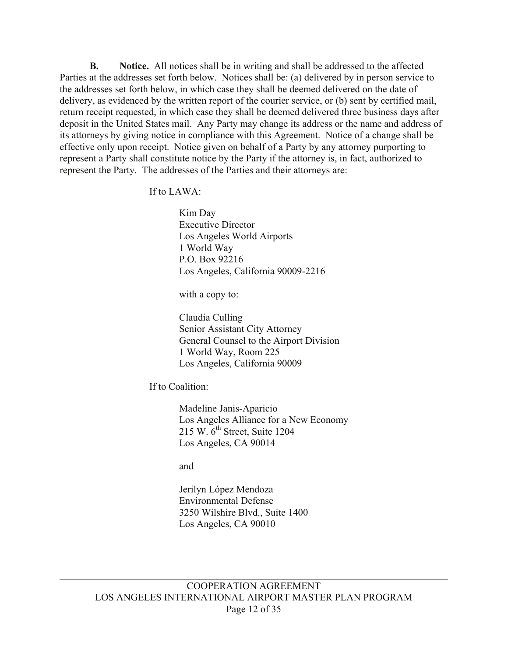**B.** Notice. All notices shall be in writing and shall be addressed to the affected Parties at the addresses set forth below. Notices shall be: (a) delivered by in person service to the addresses set forth below, in which case they shall be deemed delivered on the date of delivery, as evidenced by the written report of the courier service, or (b) sent by certified mail, return receipt requested, in which case they shall be deemed delivered three business days after deposit in the United States mail. Any Party may change its address or the name and address of its attorneys by giving notice in compliance with this Agreement. Notice of a change shall be effective only upon receipt. Notice given on behalf of a Party by any attorney purporting to represent a Party shall constitute notice by the Party if the attorney is, in fact, authorized to represent the Party. The addresses of the Parties and their attorneys are:

If to LAWA:

 Kim Day Executive Director Los Angeles World Airports 1 World Way P.O. Box 92216 Los Angeles, California 90009-2216

with a copy to:

 Claudia Culling Senior Assistant City Attorney General Counsel to the Airport Division 1 World Way, Room 225 Los Angeles, California 90009

If to Coalition:

 Madeline Janis-Aparicio Los Angeles Alliance for a New Economy 215 W.  $6<sup>th</sup>$  Street, Suite 1204 Los Angeles, CA 90014

and and state and and state and state and state and state and state and state and state and state and state and

 Jerilyn López Mendoza Environmental Defense 3250 Wilshire Blvd., Suite 1400 Los Angeles, CA 90010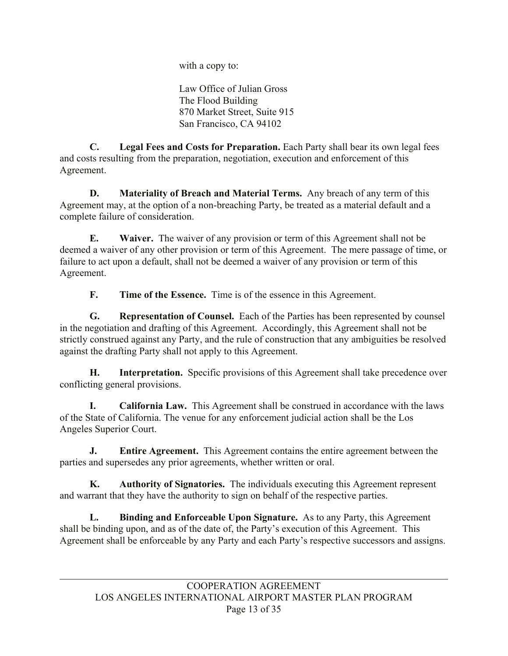with a copy to:

 Law Office of Julian Gross The Flood Building 870 Market Street, Suite 915 San Francisco, CA 94102

 **C. Legal Fees and Costs for Preparation.** Each Party shall bear its own legal fees and costs resulting from the preparation, negotiation, execution and enforcement of this Agreement.

 **D. Materiality of Breach and Material Terms.** Any breach of any term of this Agreement may, at the option of a non-breaching Party, be treated as a material default and a complete failure of consideration.

**E.** Waiver. The waiver of any provision or term of this Agreement shall not be deemed a waiver of any other provision or term of this Agreement. The mere passage of time, or failure to act upon a default, shall not be deemed a waiver of any provision or term of this Agreement.

**F.** Time of the Essence. Time is of the essence in this Agreement.

 **G. Representation of Counsel.** Each of the Parties has been represented by counsel in the negotiation and drafting of this Agreement. Accordingly, this Agreement shall not be strictly construed against any Party, and the rule of construction that any ambiguities be resolved against the drafting Party shall not apply to this Agreement.

**H.** Interpretation. Specific provisions of this Agreement shall take precedence over conflicting general provisions.

 **I. California Law.** This Agreement shall be construed in accordance with the laws of the State of California. The venue for any enforcement judicial action shall be the Los Angeles Superior Court.

 **J. Entire Agreement.** This Agreement contains the entire agreement between the parties and supersedes any prior agreements, whether written or oral.

 **K. Authority of Signatories.** The individuals executing this Agreement represent and warrant that they have the authority to sign on behalf of the respective parties.

 **L. Binding and Enforceable Upon Signature.** As to any Party, this Agreement shall be binding upon, and as of the date of, the Party's execution of this Agreement. This Agreement shall be enforceable by any Party and each Party's respective successors and assigns.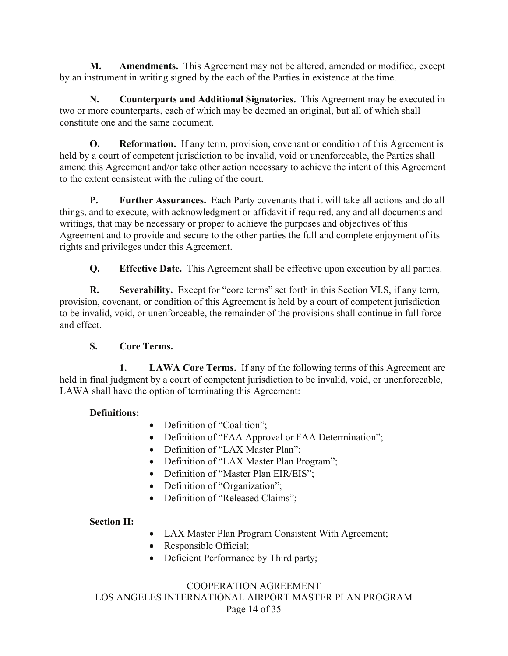**M. Amendments.** This Agreement may not be altered, amended or modified, except by an instrument in writing signed by the each of the Parties in existence at the time.

 **N. Counterparts and Additional Signatories.** This Agreement may be executed in two or more counterparts, each of which may be deemed an original, but all of which shall constitute one and the same document.

**O.** Reformation. If any term, provision, covenant or condition of this Agreement is held by a court of competent jurisdiction to be invalid, void or unenforceable, the Parties shall amend this Agreement and/or take other action necessary to achieve the intent of this Agreement to the extent consistent with the ruling of the court.

 **P. Further Assurances.** Each Party covenants that it will take all actions and do all things, and to execute, with acknowledgment or affidavit if required, any and all documents and writings, that may be necessary or proper to achieve the purposes and objectives of this Agreement and to provide and secure to the other parties the full and complete enjoyment of its rights and privileges under this Agreement.

 **Q. Effective Date.** This Agreement shall be effective upon execution by all parties.

**R.** Severability. Except for "core terms" set forth in this Section VI.S, if any term, provision, covenant, or condition of this Agreement is held by a court of competent jurisdiction to be invalid, void, or unenforceable, the remainder of the provisions shall continue in full force and effect.

# **S. Core Terms.**

**1.** LAWA Core Terms. If any of the following terms of this Agreement are held in final judgment by a court of competent jurisdiction to be invalid, void, or unenforceable, LAWA shall have the option of terminating this Agreement:

## **Definitions:**

- Definition of "Coalition";
- Definition of "FAA Approval or FAA Determination";
- Definition of "LAX Master Plan";
- Definition of "LAX Master Plan Program";
- Definition of "Master Plan EIR/EIS";
- Definition of "Organization";
- Definition of "Released Claims";

# **Section II:**

- LAX Master Plan Program Consistent With Agreement;
- $\bullet$  Responsible Official;
- Deficient Performance by Third party;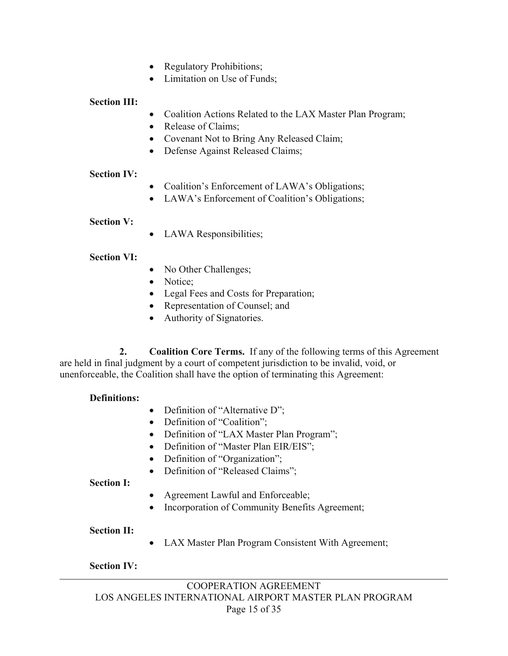- Regulatory Prohibitions;
- Limitation on Use of Funds;

### **Section III:**

- Coalition Actions Related to the LAX Master Plan Program;
- Release of Claims;
- Covenant Not to Bring Any Released Claim;
- Defense Against Released Claims;

### **Section IV:**

- Coalition's Enforcement of LAWA's Obligations;
- LAWA's Enforcement of Coalition's Obligations;

## **Section V:**

• LAWA Responsibilities;

## **Section VI:**

- No Other Challenges;
- Notice:
- Legal Fees and Costs for Preparation;
- Representation of Counsel; and
- Authority of Signatories.

 **2. Coalition Core Terms.** If any of the following terms of this Agreement are held in final judgment by a court of competent jurisdiction to be invalid, void, or unenforceable, the Coalition shall have the option of terminating this Agreement:

## **Definitions:**

- Definition of "Alternative D";
- Definition of "Coalition";
- Definition of "LAX Master Plan Program";
- Definition of "Master Plan EIR/EIS";
- Definition of "Organization";
- Definition of "Released Claims";

## **Section I:**

- Agreement Lawful and Enforceable;
- Incorporation of Community Benefits Agreement;

**Section II:** 

• LAX Master Plan Program Consistent With Agreement;

## **Section IV:**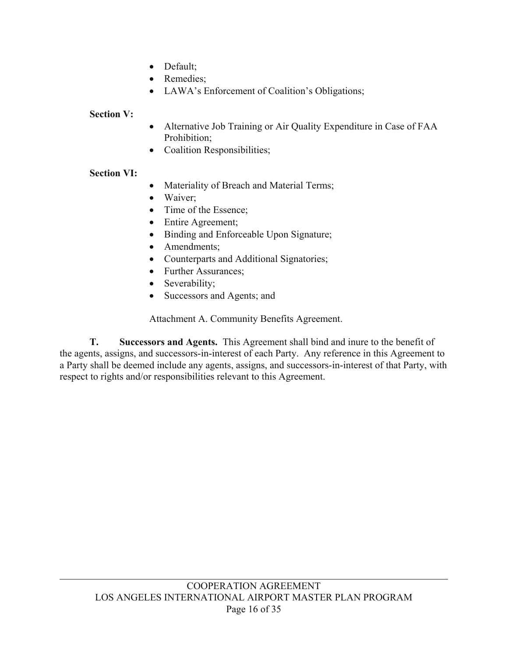- $\bullet$  Default;
- Remedies;
- LAWA's Enforcement of Coalition's Obligations;

#### **Section V:**

- Alternative Job Training or Air Quality Expenditure in Case of FAA Prohibition;
- Coalition Responsibilities;

### **Section VI:**

- Materiality of Breach and Material Terms;
- Waiver;
- $\bullet$  Time of the Essence;
- Entire Agreement;
- Binding and Enforceable Upon Signature;
- Amendments;
- Counterparts and Additional Signatories;
- Further Assurances;
- Severability;
- Successors and Agents; and

Attachment A. Community Benefits Agreement.

**T. Successors and Agents.** This Agreement shall bind and inure to the benefit of the agents, assigns, and successors-in-interest of each Party. Any reference in this Agreement to a Party shall be deemed include any agents, assigns, and successors-in-interest of that Party, with respect to rights and/or responsibilities relevant to this Agreement.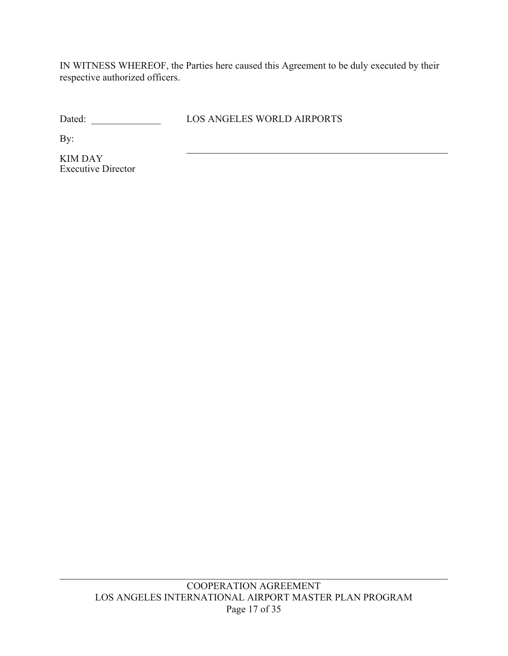IN WITNESS WHEREOF, the Parties here caused this Agreement to be duly executed by their respective authorized officers.

Dated: \_\_\_\_\_\_\_\_\_\_\_\_\_\_ LOS ANGELES WORLD AIRPORTS

By:

KIM DAY Executive Director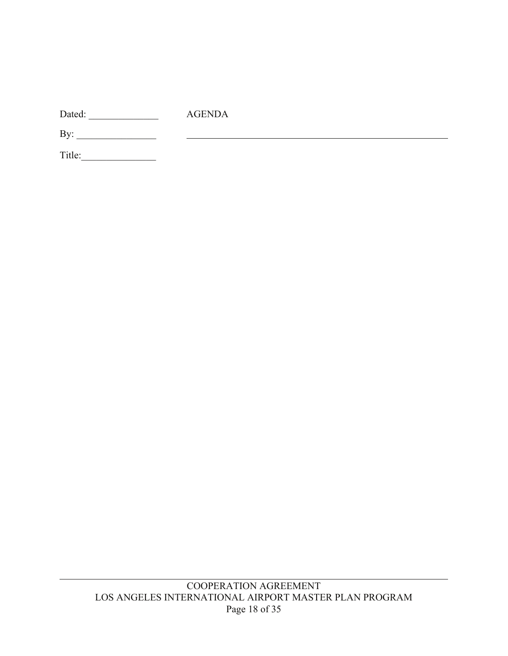Dated: \_\_\_\_\_\_\_\_\_\_\_\_\_\_ AGENDA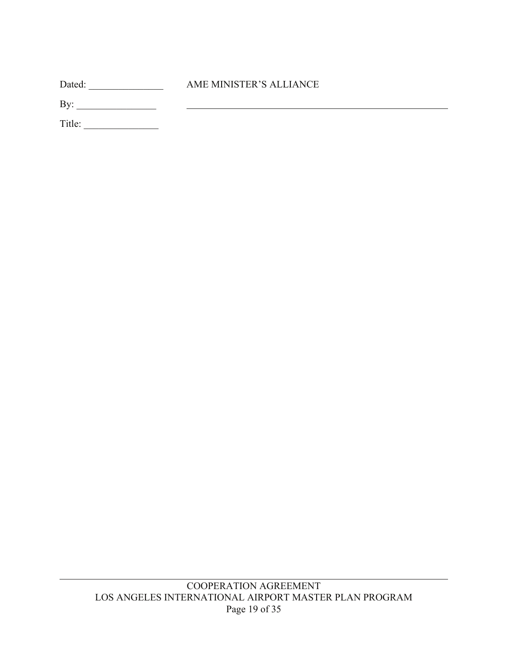| Dated: | AME MINISTER'S ALLIANCE |
|--------|-------------------------|
| By:    |                         |
| Title: |                         |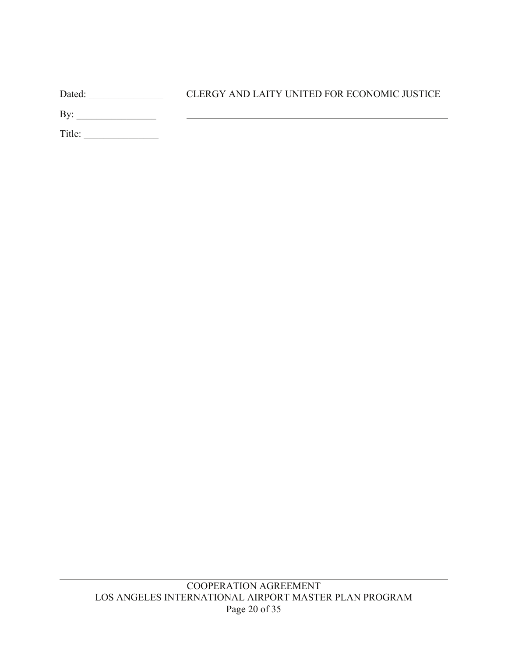| Dated: | CLERGY AND LAITY UNITED FOR ECONOMIC JUSTICE |
|--------|----------------------------------------------|
| Bv     |                                              |
| Title: |                                              |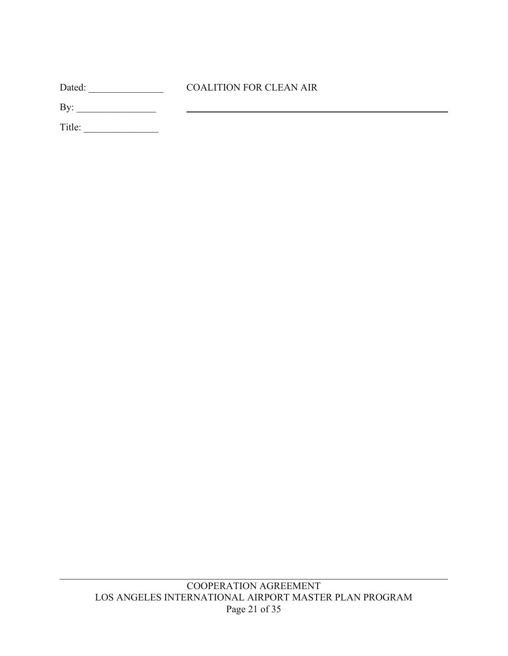| Dated: | <b>COALITION FOR CLEAN AIR</b> |
|--------|--------------------------------|
| Bv:    |                                |
| Title: |                                |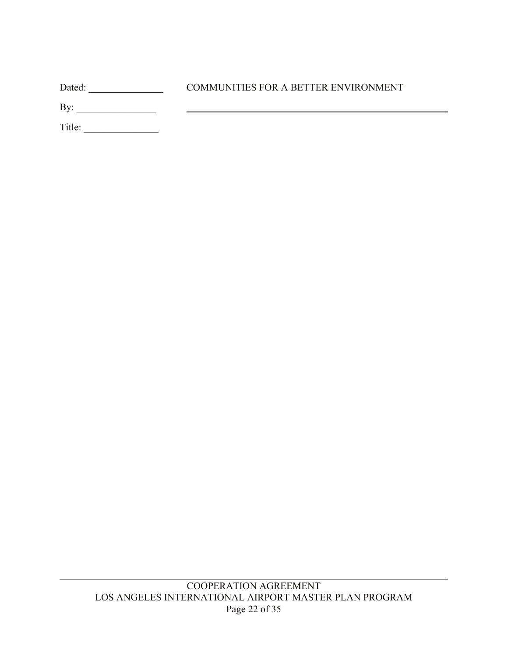| Dated: | <b>COMMUNITIES FOR A BETTER ENVIRONMENT</b> |
|--------|---------------------------------------------|
| By:    |                                             |
| Title: |                                             |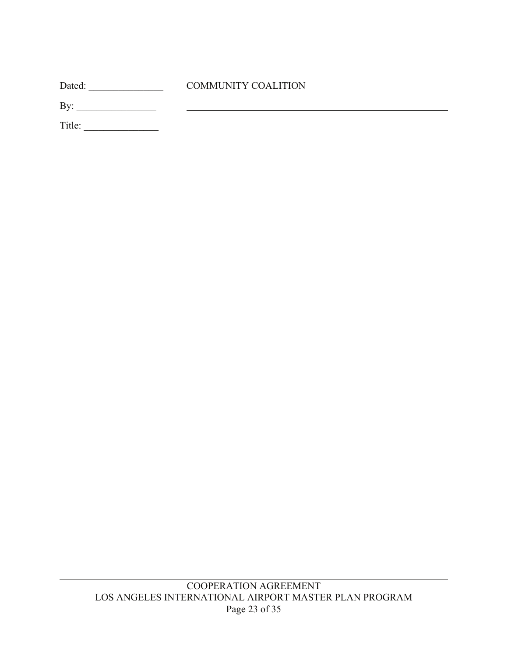| Dated: | <b>COMMUNITY COALITION</b> |
|--------|----------------------------|
| By:    |                            |
| Title: |                            |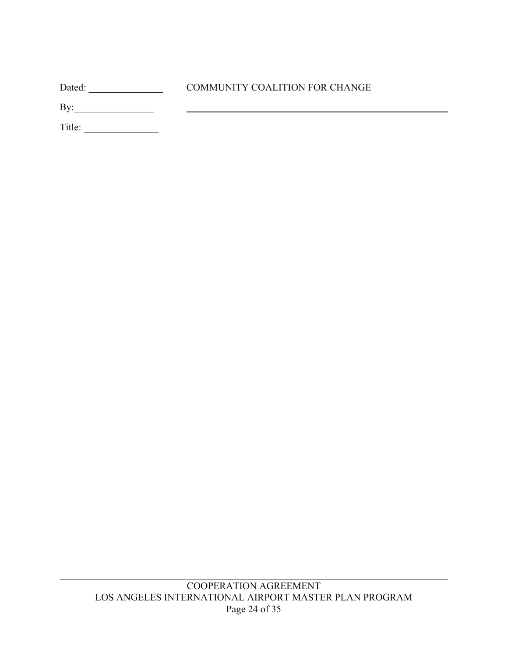| Dated: | <b>COMMUNITY COALITION FOR CHANGE</b> |
|--------|---------------------------------------|
| Bv:    |                                       |
| Title: |                                       |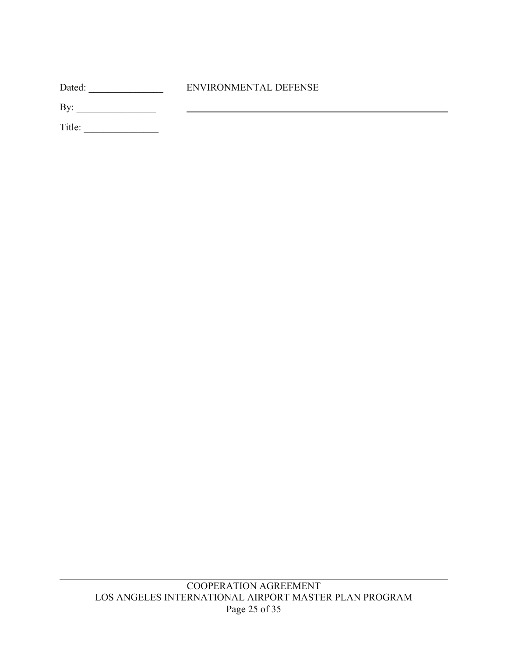| Dated: | ENVIRONMENTAL DEFENSE |
|--------|-----------------------|
| By:    |                       |
|        |                       |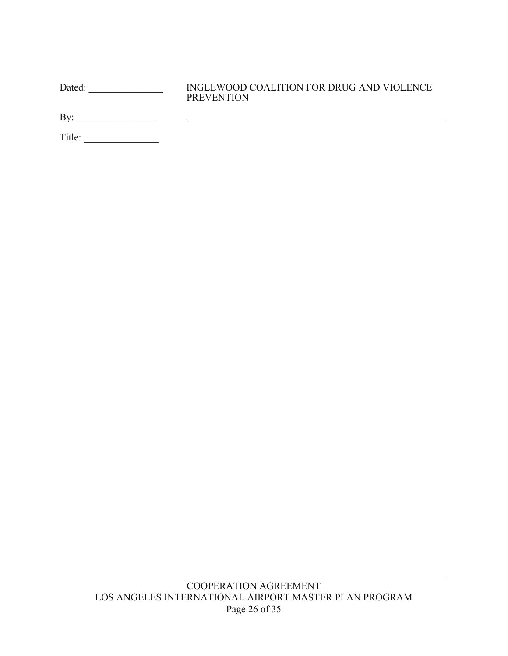| Dated: | INGLEWOOD COALITION FOR DRUG AND VIOLENCE<br><b>PREVENTION</b> |
|--------|----------------------------------------------------------------|
| Bv:    |                                                                |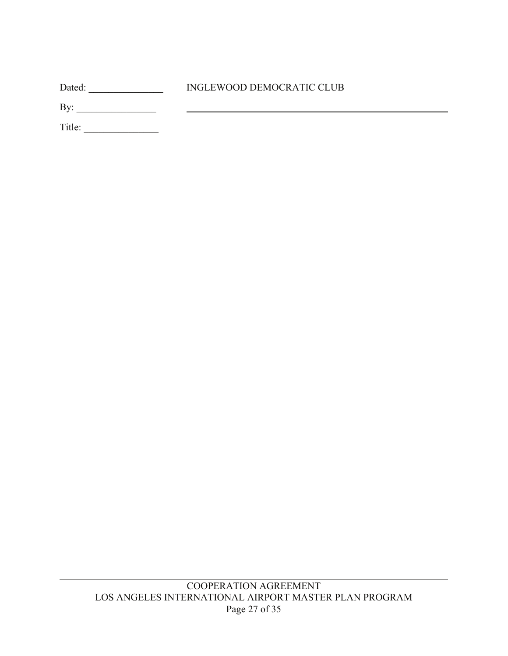| Dated: | INGLEWOOD DEMOCRATIC CLUB |
|--------|---------------------------|
| By:    |                           |
| Title: |                           |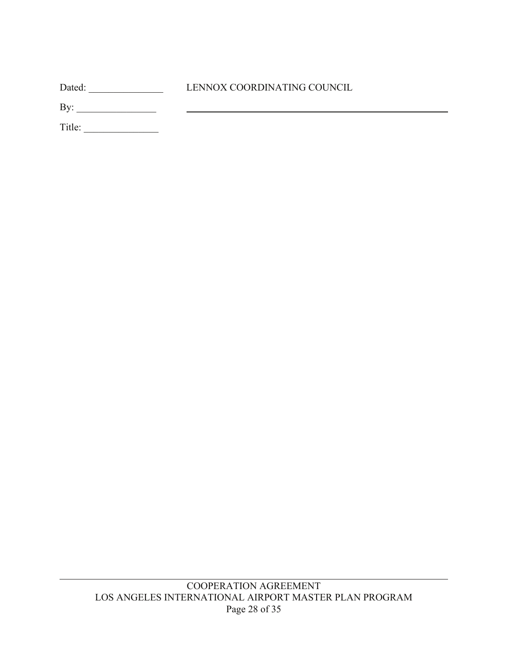| Dated: | LENNOX COORDINATING COUNCIL |
|--------|-----------------------------|
| Bv:    |                             |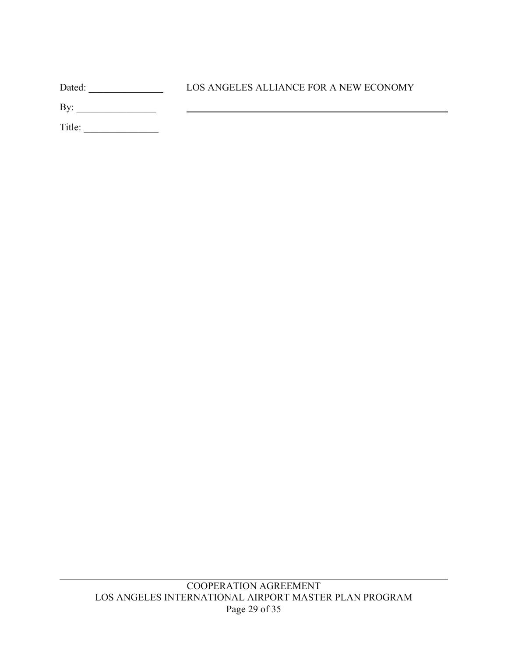| Dated: | LOS ANGELES ALLIANCE FOR A NEW ECONOMY |
|--------|----------------------------------------|
| Bv:    |                                        |
| Title: |                                        |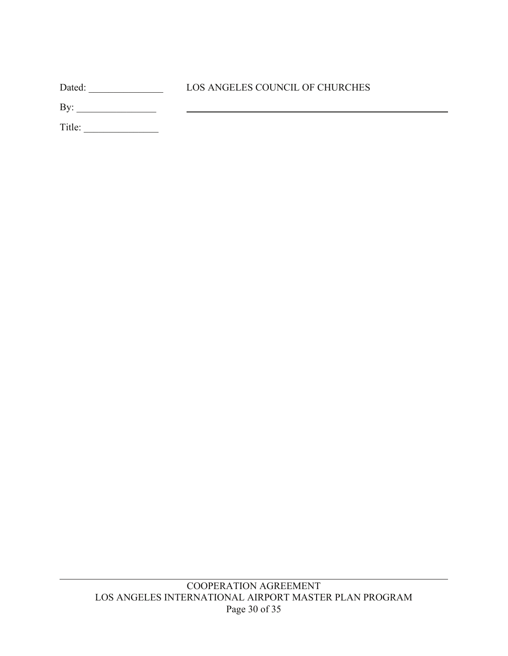| Dated: | LOS ANGELES COUNCIL OF CHURCHES |
|--------|---------------------------------|
| Bv:    |                                 |
| Title: |                                 |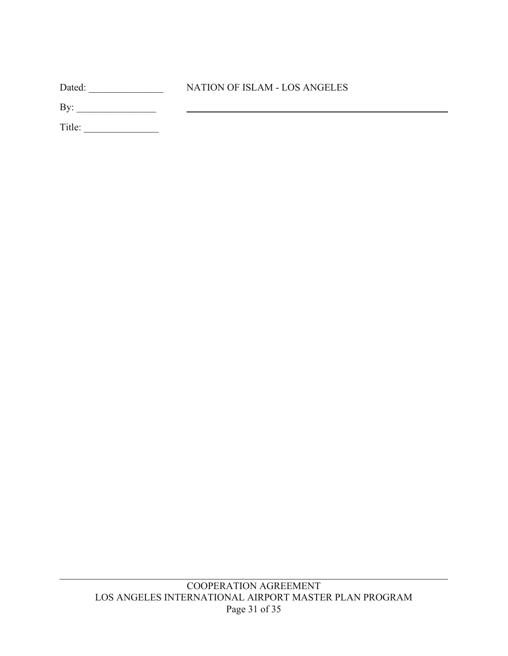| Dated: | NATION OF ISLAM - LOS ANGELES |
|--------|-------------------------------|
| By:    |                               |
| Title: |                               |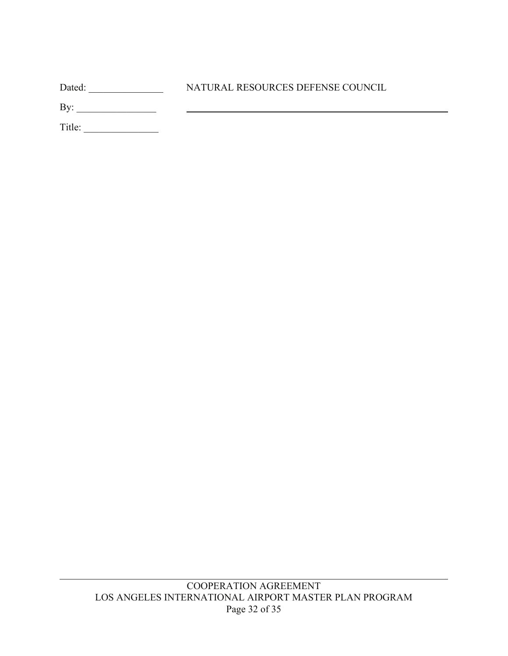| Dated: | NATURAL RESOURCES DEFENSE COUNCIL |  |
|--------|-----------------------------------|--|
| Bv     |                                   |  |
|        |                                   |  |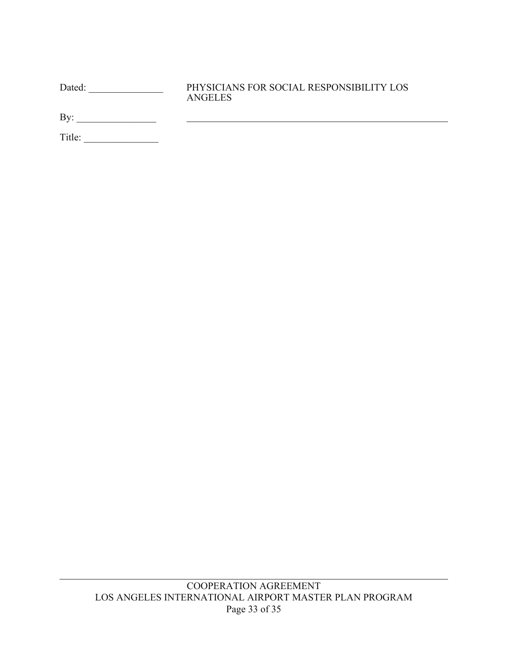#### Dated: \_\_\_\_\_\_\_\_\_\_\_\_\_\_\_ PHYSICIANS FOR SOCIAL RESPONSIBILITY LOS ANGELES

By: \_\_\_\_\_\_\_\_\_\_\_\_\_\_\_\_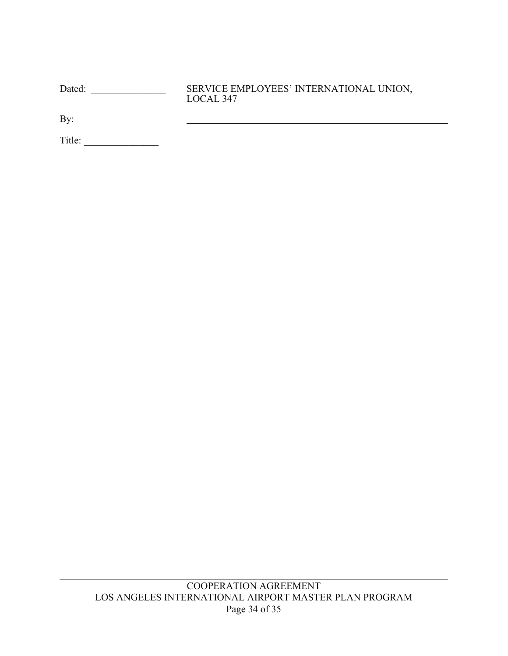| Dated: | SERVICE EMPLOYEES' INTERNATIONAL UNION,<br>LOCAL 347 |  |
|--------|------------------------------------------------------|--|
|        |                                                      |  |

By: \_\_\_\_\_\_\_\_\_\_\_\_\_\_\_\_